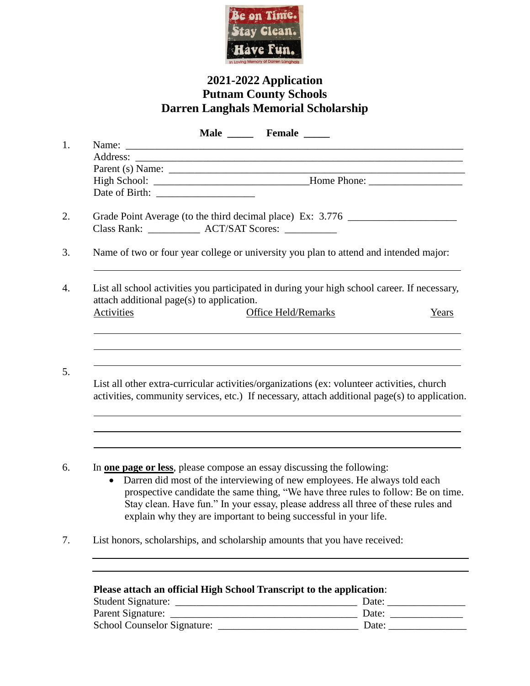

# **2021-2022 Application Putnam County Schools Darren Langhals Memorial Scholarship**

|                                                                                                                                           |                                                                                                                                                                                             |                                                                                       | Male _______ Female ______                                                                                                                                                                                                                                                                                              |  |       |  |
|-------------------------------------------------------------------------------------------------------------------------------------------|---------------------------------------------------------------------------------------------------------------------------------------------------------------------------------------------|---------------------------------------------------------------------------------------|-------------------------------------------------------------------------------------------------------------------------------------------------------------------------------------------------------------------------------------------------------------------------------------------------------------------------|--|-------|--|
|                                                                                                                                           |                                                                                                                                                                                             |                                                                                       |                                                                                                                                                                                                                                                                                                                         |  |       |  |
|                                                                                                                                           |                                                                                                                                                                                             |                                                                                       |                                                                                                                                                                                                                                                                                                                         |  |       |  |
|                                                                                                                                           |                                                                                                                                                                                             |                                                                                       |                                                                                                                                                                                                                                                                                                                         |  |       |  |
|                                                                                                                                           | High School: __________________________________Home Phone: _____________________                                                                                                            |                                                                                       |                                                                                                                                                                                                                                                                                                                         |  |       |  |
|                                                                                                                                           |                                                                                                                                                                                             |                                                                                       |                                                                                                                                                                                                                                                                                                                         |  |       |  |
|                                                                                                                                           |                                                                                                                                                                                             | Grade Point Average (to the third decimal place) Ex: 3.776 ______________________     |                                                                                                                                                                                                                                                                                                                         |  |       |  |
|                                                                                                                                           |                                                                                                                                                                                             | Name of two or four year college or university you plan to attend and intended major: |                                                                                                                                                                                                                                                                                                                         |  |       |  |
| List all school activities you participated in during your high school career. If necessary,<br>attach additional page(s) to application. |                                                                                                                                                                                             |                                                                                       |                                                                                                                                                                                                                                                                                                                         |  |       |  |
|                                                                                                                                           | <b>Activities</b>                                                                                                                                                                           |                                                                                       | <b>Office Held/Remarks</b>                                                                                                                                                                                                                                                                                              |  | Years |  |
|                                                                                                                                           | List all other extra-curricular activities/organizations (ex: volunteer activities, church<br>activities, community services, etc.) If necessary, attach additional page(s) to application. |                                                                                       |                                                                                                                                                                                                                                                                                                                         |  |       |  |
|                                                                                                                                           | In <u>one page or less</u> , please compose an essay discussing the following:<br>$\bullet$                                                                                                 |                                                                                       | Darren did most of the interviewing of new employees. He always told each<br>prospective candidate the same thing, "We have three rules to follow: Be on time.<br>Stay clean. Have fun." In your essay, please address all three of these rules and<br>explain why they are important to being successful in your life. |  |       |  |
|                                                                                                                                           | List honors, scholarships, and scholarship amounts that you have received:                                                                                                                  |                                                                                       |                                                                                                                                                                                                                                                                                                                         |  |       |  |
|                                                                                                                                           |                                                                                                                                                                                             |                                                                                       |                                                                                                                                                                                                                                                                                                                         |  |       |  |
|                                                                                                                                           | Please attach an official High School Transcript to the application:                                                                                                                        |                                                                                       |                                                                                                                                                                                                                                                                                                                         |  |       |  |
|                                                                                                                                           |                                                                                                                                                                                             |                                                                                       |                                                                                                                                                                                                                                                                                                                         |  |       |  |
|                                                                                                                                           |                                                                                                                                                                                             |                                                                                       |                                                                                                                                                                                                                                                                                                                         |  |       |  |
|                                                                                                                                           |                                                                                                                                                                                             |                                                                                       |                                                                                                                                                                                                                                                                                                                         |  |       |  |